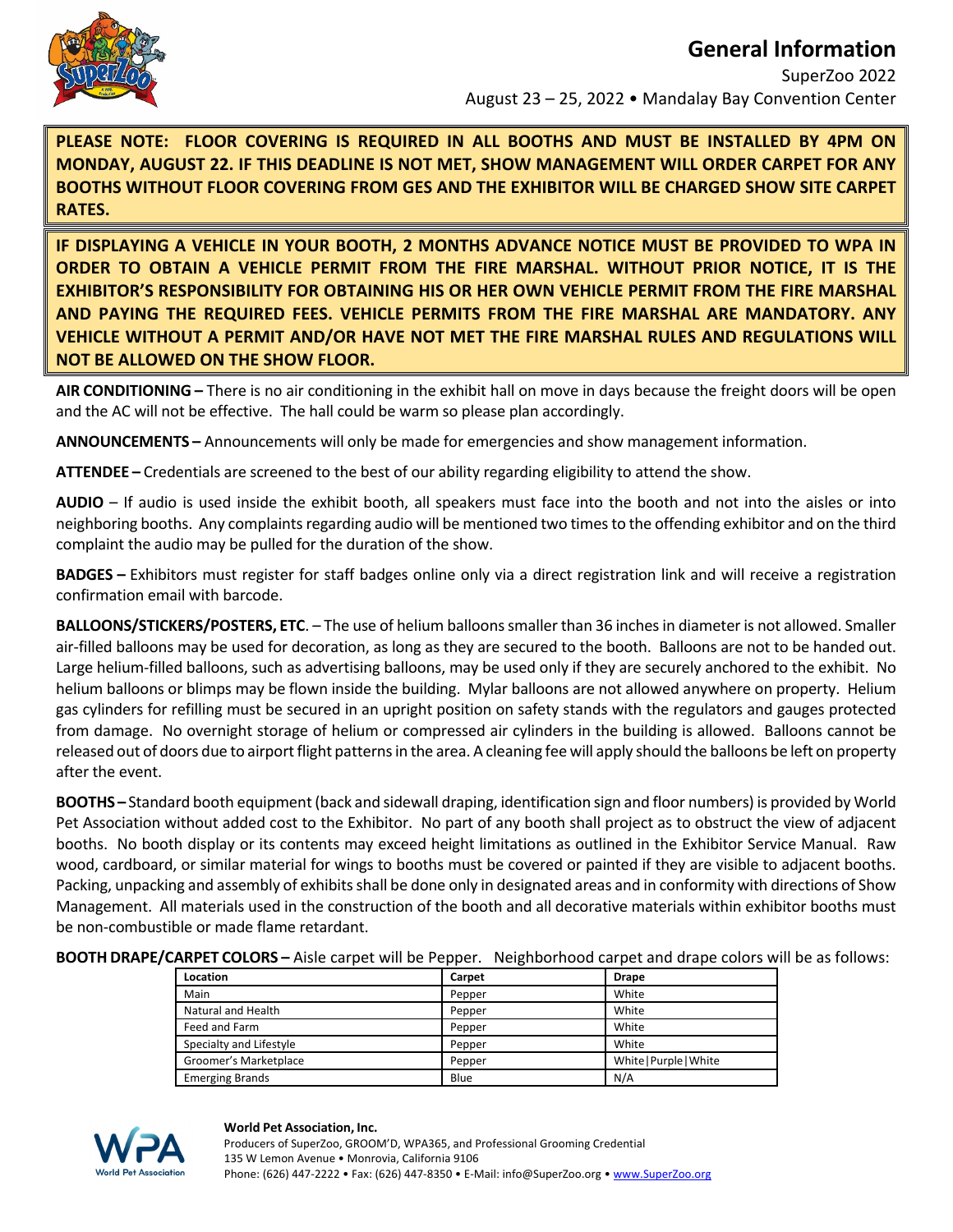

# **General Information**

SuperZoo 2022 August 23 – 25, 2022 • Mandalay Bay Convention Center

**PLEASE NOTE: FLOOR COVERING IS REQUIRED IN ALL BOOTHS AND MUST BE INSTALLED BY 4PM ON MONDAY, AUGUST 22. IF THIS DEADLINE IS NOT MET, SHOW MANAGEMENT WILL ORDER CARPET FOR ANY BOOTHS WITHOUT FLOOR COVERING FROM GES AND THE EXHIBITOR WILL BE CHARGED SHOW SITE CARPET RATES.** 

**IF DISPLAYING A VEHICLE IN YOUR BOOTH, 2 MONTHS ADVANCE NOTICE MUST BE PROVIDED TO WPA IN ORDER TO OBTAIN A VEHICLE PERMIT FROM THE FIRE MARSHAL. WITHOUT PRIOR NOTICE, IT IS THE EXHIBITOR'S RESPONSIBILITY FOR OBTAINING HIS OR HER OWN VEHICLE PERMIT FROM THE FIRE MARSHAL AND PAYING THE REQUIRED FEES. VEHICLE PERMITS FROM THE FIRE MARSHAL ARE MANDATORY. ANY VEHICLE WITHOUT A PERMIT AND/OR HAVE NOT MET THE FIRE MARSHAL RULES AND REGULATIONS WILL NOT BE ALLOWED ON THE SHOW FLOOR.** 

**AIR CONDITIONING –** There is no air conditioning in the exhibit hall on move in days because the freight doors will be open and the AC will not be effective. The hall could be warm so please plan accordingly.

**ANNOUNCEMENTS –** Announcements will only be made for emergencies and show management information.

**ATTENDEE –** Credentials are screened to the best of our ability regarding eligibility to attend the show.

**AUDIO** – If audio is used inside the exhibit booth, all speakers must face into the booth and not into the aisles or into neighboring booths. Any complaints regarding audio will be mentioned two times to the offending exhibitor and on the third complaint the audio may be pulled for the duration of the show.

**BADGES –** Exhibitors must register for staff badges online only via a direct registration link and will receive a registration confirmation email with barcode.

**BALLOONS/STICKERS/POSTERS, ETC**. – The use of helium balloonssmaller than 36 inchesin diameter is not allowed. Smaller air‐filled balloons may be used for decoration, as long as they are secured to the booth. Balloons are not to be handed out. Large helium-filled balloons, such as advertising balloons, may be used only if they are securely anchored to the exhibit. No helium balloons or blimps may be flown inside the building. Mylar balloons are not allowed anywhere on property. Helium gas cylinders for refilling must be secured in an upright position on safety stands with the regulators and gauges protected from damage. No overnight storage of helium or compressed air cylinders in the building is allowed. Balloons cannot be released out of doors due to airport flight patterns in the area. A cleaning fee will apply should the balloons be left on property after the event.

**BOOTHS –** Standard booth equipment(back and sidewall draping, identification sign and floor numbers) is provided by World Pet Association without added cost to the Exhibitor. No part of any booth shall project as to obstruct the view of adjacent booths. No booth display or its contents may exceed height limitations as outlined in the Exhibitor Service Manual. Raw wood, cardboard, or similar material for wings to booths must be covered or painted if they are visible to adjacent booths. Packing, unpacking and assembly of exhibits shall be done only in designated areas and in conformity with directions of Show Management. All materials used in the construction of the booth and all decorative materials within exhibitor booths must be non‐combustible or made flame retardant.

**BOOTH DRAPE/CARPET COLORS –** Aisle carpet will be Pepper. Neighborhood carpet and drape colors will be as follows:

| Location                | Carpet | <b>Drape</b>           |
|-------------------------|--------|------------------------|
| Main                    | Pepper | White                  |
| Natural and Health      | Pepper | White                  |
| Feed and Farm           | Pepper | White                  |
| Specialty and Lifestyle | Pepper | White                  |
| Groomer's Marketplace   | Pepper | White   Purple   White |
| <b>Emerging Brands</b>  | Blue   | N/A                    |



### **World Pet Association, Inc.**

 Producers of SuperZoo, GROOM'D, WPA365, and Professional Grooming Credential 135 W Lemon Avenue • Monrovia, California 9106 Phone: (626) 447-2222 • Fax: (626) 447-8350 • E-Mail: info@SuperZoo.org • www.SuperZoo.org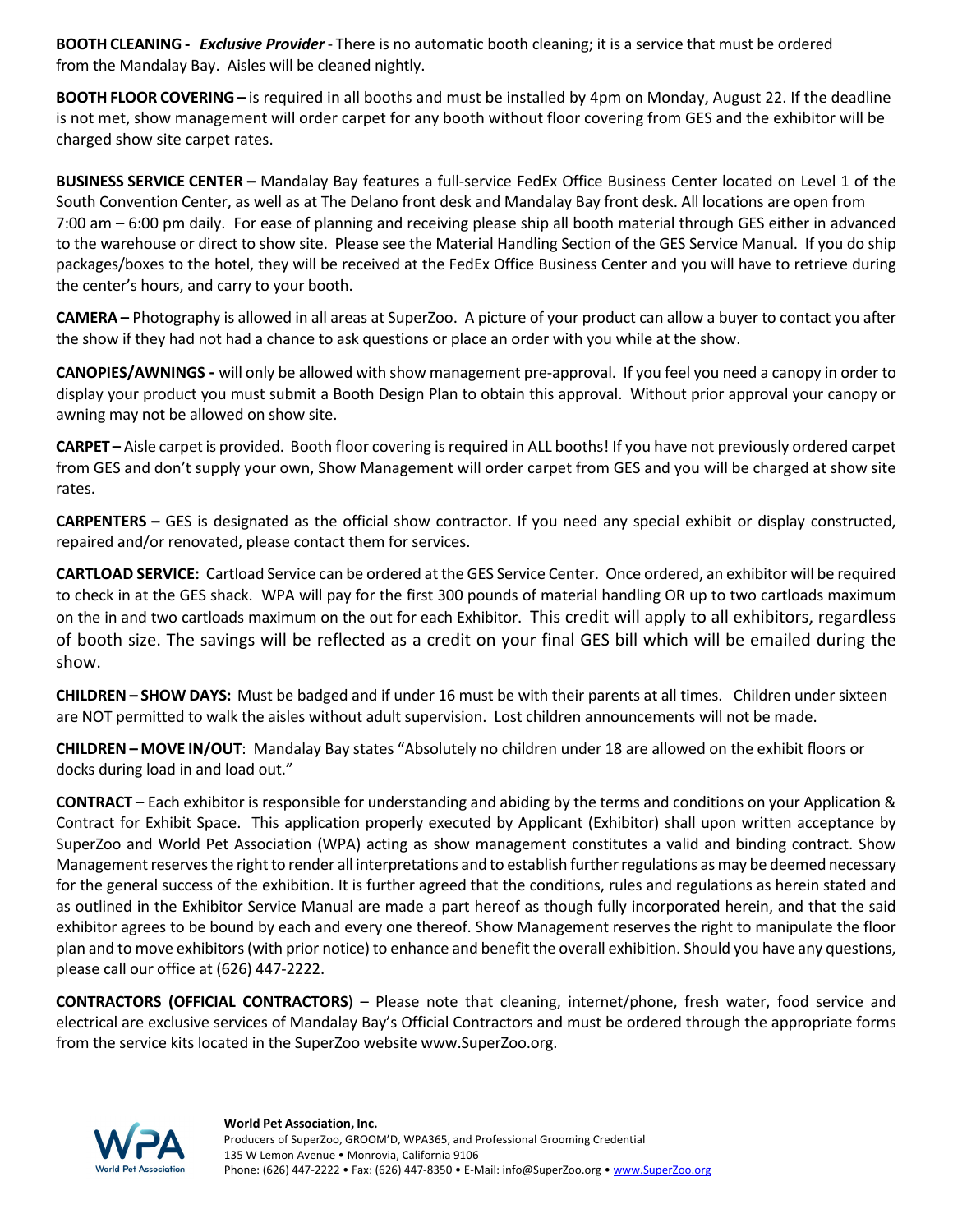**BOOTH CLEANING ‐**  *Exclusive Provider*‐ There is no automatic booth cleaning; it is a service that must be ordered from the Mandalay Bay. Aisles will be cleaned nightly.

**BOOTH FLOOR COVERING –** is required in all booths and must be installed by 4pm on Monday, August 22. If the deadline is not met, show management will order carpet for any booth without floor covering from GES and the exhibitor will be charged show site carpet rates.

**BUSINESS SERVICE CENTER –** Mandalay Bay features a full‐service FedEx Office Business Center located on Level 1 of the South Convention Center, as well as at The Delano front desk and Mandalay Bay front desk. All locations are open from 7:00 am – 6:00 pm daily. For ease of planning and receiving please ship all booth material through GES either in advanced to the warehouse or direct to show site. Please see the Material Handling Section of the GES Service Manual. If you do ship packages/boxes to the hotel, they will be received at the FedEx Office Business Center and you will have to retrieve during the center's hours, and carry to your booth.

**CAMERA –** Photography is allowed in all areas at SuperZoo. A picture of your product can allow a buyer to contact you after the show if they had not had a chance to ask questions or place an order with you while at the show.

**CANOPIES/AWNINGS** - will only be allowed with show management pre-approval. If you feel you need a canopy in order to display your product you must submit a Booth Design Plan to obtain this approval. Without prior approval your canopy or awning may not be allowed on show site.

**CARPET –** Aisle carpet is provided. Booth floor covering isrequired in ALL booths! If you have not previously ordered carpet from GES and don't supply your own, Show Management will order carpet from GES and you will be charged at show site rates.

**CARPENTERS –** GES is designated as the official show contractor. If you need any special exhibit or display constructed, repaired and/or renovated, please contact them for services.

**CARTLOAD SERVICE:** Cartload Service can be ordered at the GES Service Center. Once ordered, an exhibitor will be required to check in at the GES shack. WPA will pay for the first 300 pounds of material handling OR up to two cartloads maximum on the in and two cartloads maximum on the out for each Exhibitor. This credit will apply to all exhibitors, regardless of booth size. The savings will be reflected as a credit on your final GES bill which will be emailed during the show.

**CHILDREN – SHOW DAYS:** Must be badged and if under 16 must be with their parents at all times. Children under sixteen are NOT permitted to walk the aisles without adult supervision. Lost children announcements will not be made.

**CHILDREN – MOVE IN/OUT**: Mandalay Bay states "Absolutely no children under 18 are allowed on the exhibit floors or docks during load in and load out."

**CONTRACT** – Each exhibitor is responsible for understanding and abiding by the terms and conditions on your Application & Contract for Exhibit Space. This application properly executed by Applicant (Exhibitor) shall upon written acceptance by SuperZoo and World Pet Association (WPA) acting as show management constitutes a valid and binding contract. Show Management reserves the right to render all interpretations and to establish further regulations as may be deemed necessary for the general success of the exhibition. It is further agreed that the conditions, rules and regulations as herein stated and as outlined in the Exhibitor Service Manual are made a part hereof as though fully incorporated herein, and that the said exhibitor agrees to be bound by each and every one thereof. Show Management reserves the right to manipulate the floor plan and to move exhibitors(with prior notice) to enhance and benefit the overall exhibition. Should you have any questions, please call our office at (626) 447‐2222.

**CONTRACTORS (OFFICIAL CONTRACTORS**) – Please note that cleaning, internet/phone, fresh water, food service and electrical are exclusive services of Mandalay Bay's Official Contractors and must be ordered through the appropriate forms from the service kits located in the SuperZoo website www.SuperZoo.org.

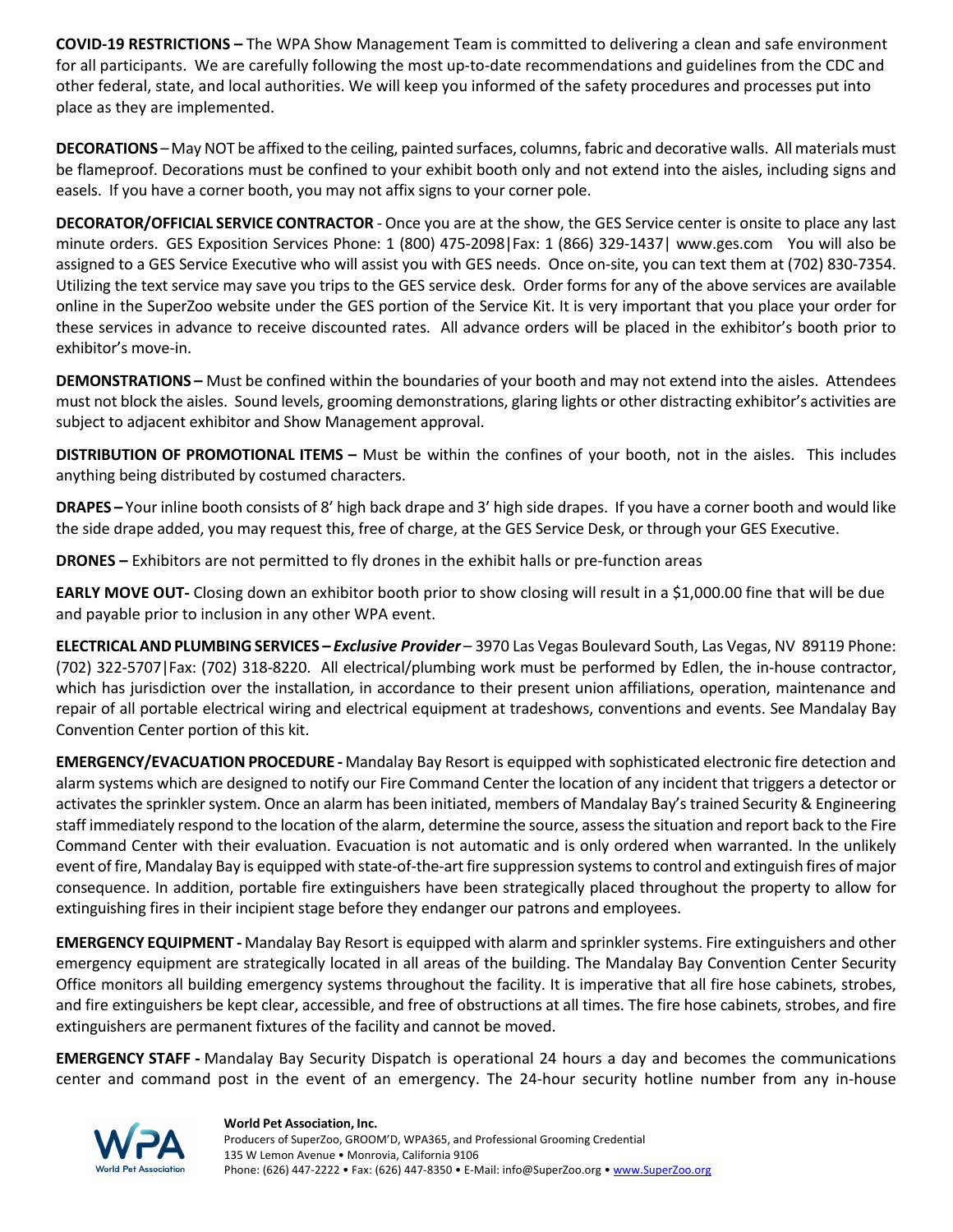**COVID‐19 RESTRICTIONS –** The WPA Show Management Team is committed to delivering a clean and safe environment for all participants. We are carefully following the most up-to-date recommendations and guidelines from the CDC and other federal, state, and local authorities. We will keep you informed of the safety procedures and processes put into place as they are implemented.

**DECORATIONS** –May NOT be affixed to the ceiling, painted surfaces, columns, fabric and decorative walls. All materials must be flameproof. Decorations must be confined to your exhibit booth only and not extend into the aisles, including signs and easels. If you have a corner booth, you may not affix signs to your corner pole.

**DECORATOR/OFFICIAL SERVICE CONTRACTOR** ‐ Once you are at the show, the GES Service center is onsite to place any last minute orders. GES Exposition Services Phone: 1 (800) 475‐2098|Fax: 1 (866) 329‐1437| www.ges.com You will also be assigned to a GES Service Executive who will assist you with GES needs. Once on‐site, you can text them at (702) 830‐7354. Utilizing the text service may save you trips to the GES service desk. Order forms for any of the above services are available online in the SuperZoo website under the GES portion of the Service Kit. It is very important that you place your order for these services in advance to receive discounted rates. All advance orders will be placed in the exhibitor's booth prior to exhibitor's move‐in.

**DEMONSTRATIONS –** Must be confined within the boundaries of your booth and may not extend into the aisles. Attendees must not block the aisles. Sound levels, grooming demonstrations, glaring lights or other distracting exhibitor's activities are subject to adjacent exhibitor and Show Management approval.

**DISTRIBUTION OF PROMOTIONAL ITEMS –** Must be within the confines of your booth, not in the aisles. This includes anything being distributed by costumed characters.

**DRAPES –** Your inline booth consists of 8' high back drape and 3' high side drapes. If you have a corner booth and would like the side drape added, you may request this, free of charge, at the GES Service Desk, or through your GES Executive.

**DRONES –** Exhibitors are not permitted to fly drones in the exhibit halls or pre‐function areas

**EARLY MOVE OUT‐** Closing down an exhibitor booth prior to show closing will result in a \$1,000.00 fine that will be due and payable prior to inclusion in any other WPA event.

**ELECTRICALAND PLUMBINGSERVICES –** *Exclusive Provider* – 3970 Las Vegas Boulevard South, Las Vegas, NV 89119 Phone: (702) 322‐5707|Fax: (702) 318‐8220. All electrical/plumbing work must be performed by Edlen, the in‐house contractor, which has jurisdiction over the installation, in accordance to their present union affiliations, operation, maintenance and repair of all portable electrical wiring and electrical equipment at tradeshows, conventions and events. See Mandalay Bay Convention Center portion of this kit.

**EMERGENCY/EVACUATION PROCEDURE ‐** Mandalay Bay Resort is equipped with sophisticated electronic fire detection and alarm systems which are designed to notify our Fire Command Center the location of any incident that triggers a detector or activates the sprinkler system. Once an alarm has been initiated, members of Mandalay Bay's trained Security & Engineering staff immediately respond to the location of the alarm, determine the source, assessthe situation and report back to the Fire Command Center with their evaluation. Evacuation is not automatic and is only ordered when warranted. In the unlikely event of fire, Mandalay Bay is equipped with state‐of‐the‐art fire suppression systemsto control and extinguish fires of major consequence. In addition, portable fire extinguishers have been strategically placed throughout the property to allow for extinguishing fires in their incipient stage before they endanger our patrons and employees.

**EMERGENCY EQUIPMENT ‐** Mandalay Bay Resort is equipped with alarm and sprinkler systems. Fire extinguishers and other emergency equipment are strategically located in all areas of the building. The Mandalay Bay Convention Center Security Office monitors all building emergency systems throughout the facility. It is imperative that all fire hose cabinets, strobes, and fire extinguishers be kept clear, accessible, and free of obstructions at all times. The fire hose cabinets, strobes, and fire extinguishers are permanent fixtures of the facility and cannot be moved.

**EMERGENCY STAFF ‐** Mandalay Bay Security Dispatch is operational 24 hours a day and becomes the communications center and command post in the event of an emergency. The 24‐hour security hotline number from any in‐house



### **World Pet Association, Inc.**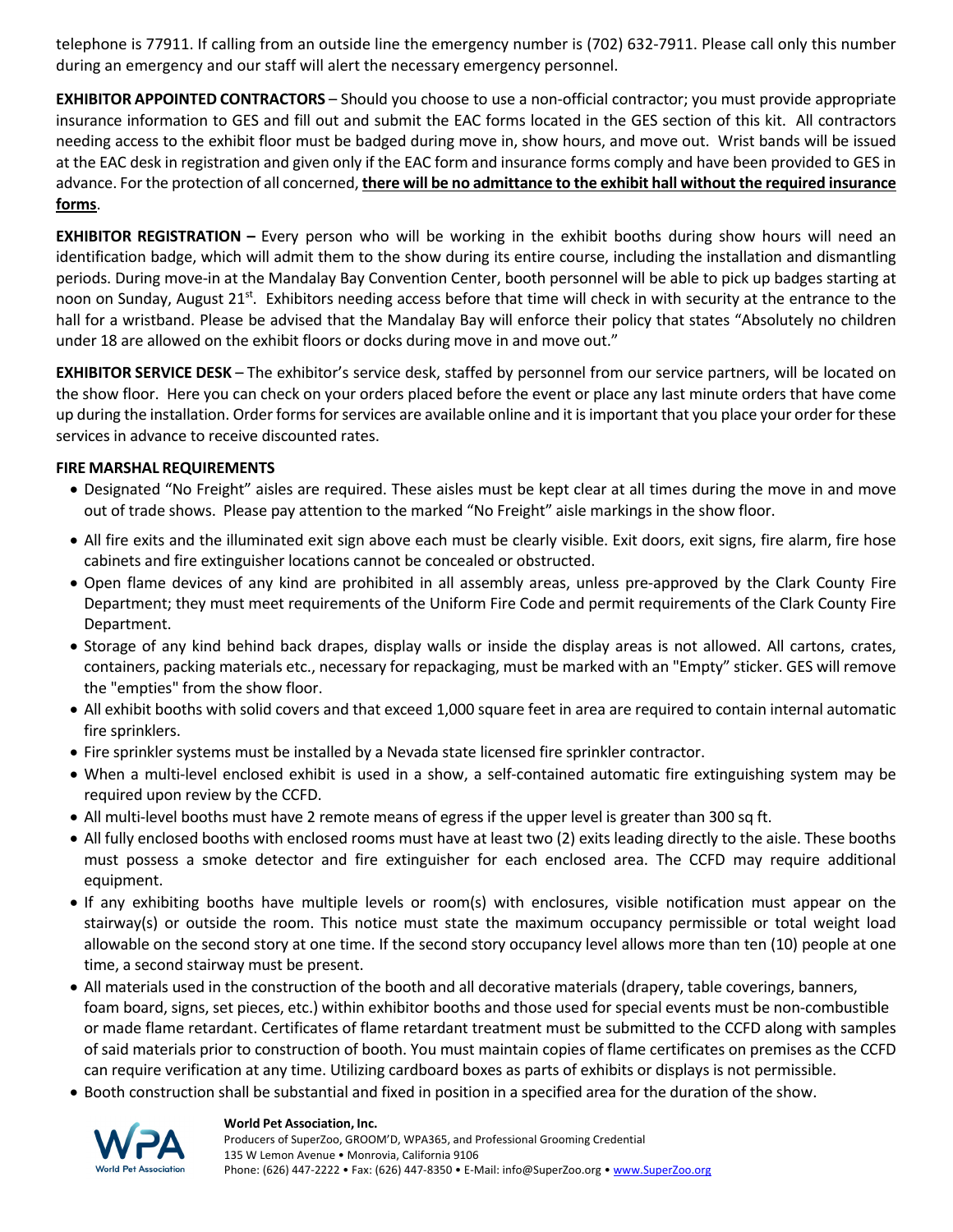telephone is 77911. If calling from an outside line the emergency number is (702) 632‐7911. Please call only this number during an emergency and our staff will alert the necessary emergency personnel.

**EXHIBITOR APPOINTED CONTRACTORS** – Should you choose to use a non‐official contractor; you must provide appropriate insurance information to GES and fill out and submit the EAC forms located in the GES section of this kit. All contractors needing access to the exhibit floor must be badged during move in, show hours, and move out. Wrist bands will be issued at the EAC desk in registration and given only if the EAC form and insurance forms comply and have been provided to GES in advance. For the protection of all concerned, **there will be no admittance to the exhibit hall without the required insurance forms**.

**EXHIBITOR REGISTRATION –** Every person who will be working in the exhibit booths during show hours will need an identification badge, which will admit them to the show during its entire course, including the installation and dismantling periods. During move-in at the Mandalay Bay Convention Center, booth personnel will be able to pick up badges starting at noon on Sunday, August 21<sup>st</sup>. Exhibitors needing access before that time will check in with security at the entrance to the hall for a wristband. Please be advised that the Mandalay Bay will enforce their policy that states "Absolutely no children under 18 are allowed on the exhibit floors or docks during move in and move out."

**EXHIBITOR SERVICE DESK** – The exhibitor's service desk, staffed by personnel from our service partners, will be located on the show floor. Here you can check on your orders placed before the event or place any last minute orders that have come up during the installation. Order forms for services are available online and it is important that you place your order for these services in advance to receive discounted rates.

## **FIRE MARSHAL REQUIREMENTS**

- Designated "No Freight" aisles are required. These aisles must be kept clear at all times during the move in and move out of trade shows. Please pay attention to the marked "No Freight" aisle markings in the show floor.
- All fire exits and the illuminated exit sign above each must be clearly visible. Exit doors, exit signs, fire alarm, fire hose cabinets and fire extinguisher locations cannot be concealed or obstructed.
- Open flame devices of any kind are prohibited in all assembly areas, unless pre‐approved by the Clark County Fire Department; they must meet requirements of the Uniform Fire Code and permit requirements of the Clark County Fire Department.
- Storage of any kind behind back drapes, display walls or inside the display areas is not allowed. All cartons, crates, containers, packing materials etc., necessary for repackaging, must be marked with an "Empty" sticker. GES will remove the "empties" from the show floor.
- All exhibit booths with solid covers and that exceed 1,000 square feet in area are required to contain internal automatic fire sprinklers.
- Fire sprinkler systems must be installed by a Nevada state licensed fire sprinkler contractor.
- When a multi-level enclosed exhibit is used in a show, a self-contained automatic fire extinguishing system may be required upon review by the CCFD.
- All multi-level booths must have 2 remote means of egress if the upper level is greater than 300 sq ft.
- All fully enclosed booths with enclosed rooms must have at least two (2) exits leading directly to the aisle. These booths must possess a smoke detector and fire extinguisher for each enclosed area. The CCFD may require additional equipment.
- If any exhibiting booths have multiple levels or room(s) with enclosures, visible notification must appear on the stairway(s) or outside the room. This notice must state the maximum occupancy permissible or total weight load allowable on the second story at one time. If the second story occupancy level allows more than ten (10) people at one time, a second stairway must be present.
- All materials used in the construction of the booth and all decorative materials (drapery, table coverings, banners, foam board, signs, set pieces, etc.) within exhibitor booths and those used for special events must be non-combustible or made flame retardant. Certificates of flame retardant treatment must be submitted to the CCFD along with samples of said materials prior to construction of booth. You must maintain copies of flame certificates on premises as the CCFD can require verification at any time. Utilizing cardboard boxes as parts of exhibits or displays is not permissible.
- Booth construction shall be substantial and fixed in position in a specified area for the duration of the show.



### **World Pet Association, Inc.**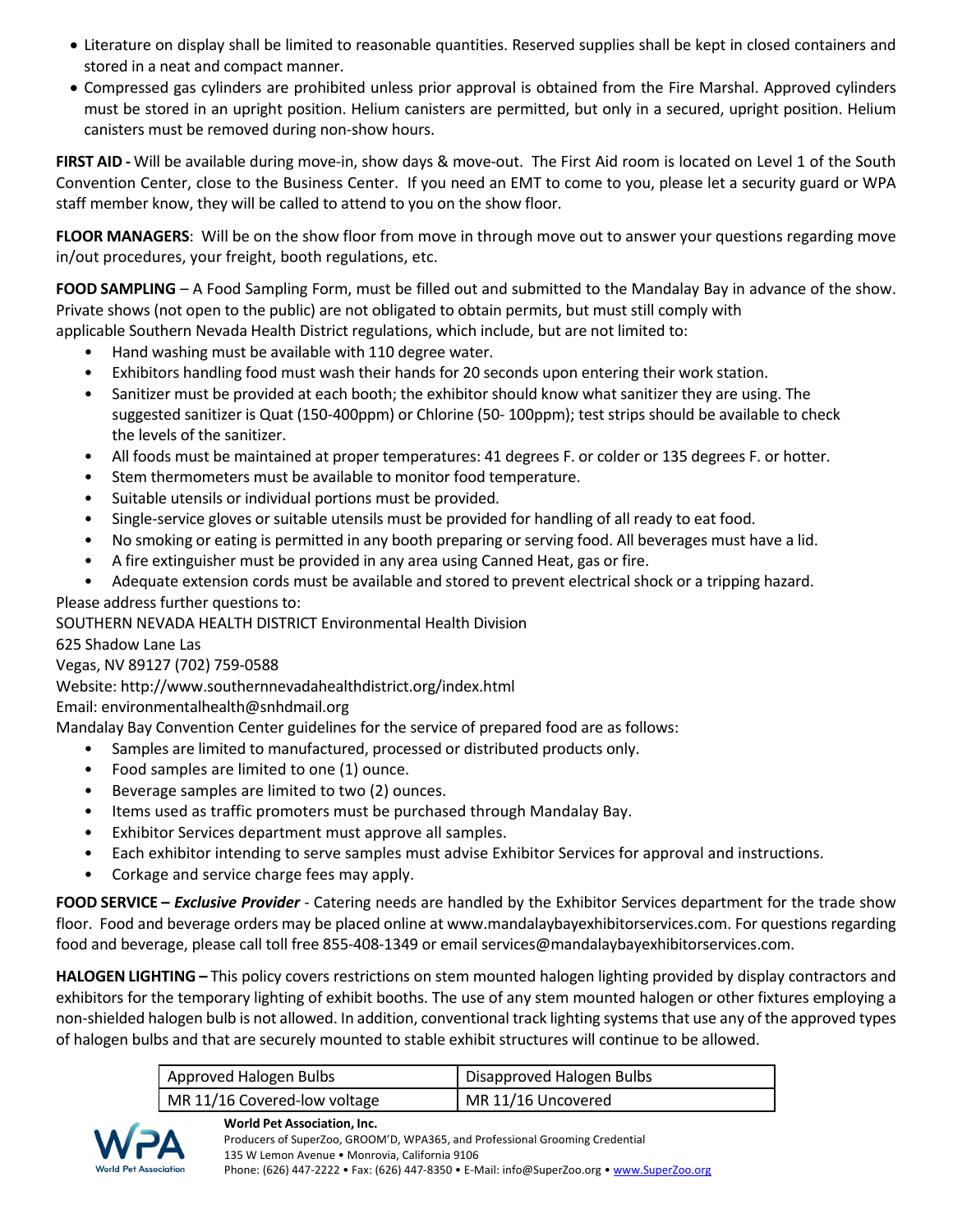- Literature on display shall be limited to reasonable quantities. Reserved supplies shall be kept in closed containers and stored in a neat and compact manner.
- Compressed gas cylinders are prohibited unless prior approval is obtained from the Fire Marshal. Approved cylinders must be stored in an upright position. Helium canisters are permitted, but only in a secured, upright position. Helium canisters must be removed during non‐show hours.

**FIRST AID ‐** Will be available during move‐in, show days & move‐out. The First Aid room is located on Level 1 of the South Convention Center, close to the Business Center. If you need an EMT to come to you, please let a security guard or WPA staff member know, they will be called to attend to you on the show floor.

**FLOOR MANAGERS**: Will be on the show floor from move in through move out to answer your questions regarding move in/out procedures, your freight, booth regulations, etc.

**FOOD SAMPLING** – A Food Sampling Form, must be filled out and submitted to the Mandalay Bay in advance of the show. Private shows (not open to the public) are not obligated to obtain permits, but must still comply with

- applicable Southern Nevada Health District regulations, which include, but are not limited to:
	- Hand washing must be available with 110 degree water.
	- Exhibitors handling food must wash their hands for 20 seconds upon entering their work station.
	- Sanitizer must be provided at each booth; the exhibitor should know what sanitizer they are using. The suggested sanitizer is Quat (150‐400ppm) or Chlorine (50‐ 100ppm); test strips should be available to check the levels of the sanitizer.
	- All foods must be maintained at proper temperatures: 41 degrees F. or colder or 135 degrees F. or hotter.
	- Stem thermometers must be available to monitor food temperature.
	- Suitable utensils or individual portions must be provided.
	- Single-service gloves or suitable utensils must be provided for handling of all ready to eat food.
	- No smoking or eating is permitted in any booth preparing or serving food. All beverages must have a lid.
	- A fire extinguisher must be provided in any area using Canned Heat, gas or fire.
- Adequate extension cords must be available and stored to prevent electrical shock or a tripping hazard. Please address further questions to:

SOUTHERN NEVADA HEALTH DISTRICT Environmental Health Division

625 Shadow Lane Las

Vegas, NV 89127 (702) 759‐0588

Website: http://www.southernnevadahealthdistrict.org/index.html

Email: environmentalhealth@snhdmail.org

Mandalay Bay Convention Center guidelines for the service of prepared food are as follows:

- Samples are limited to manufactured, processed or distributed products only.
- Food samples are limited to one (1) ounce.
- Beverage samples are limited to two (2) ounces.
- Items used as traffic promoters must be purchased through Mandalay Bay.
- Exhibitor Services department must approve all samples.
- Each exhibitor intending to serve samples must advise Exhibitor Services for approval and instructions.
- Corkage and service charge fees may apply.

**FOOD SERVICE –** *Exclusive Provider* ‐ Catering needs are handled by the Exhibitor Services department for the trade show floor. Food and beverage orders may be placed online at www.mandalaybayexhibitorservices.com. For questions regarding food and beverage, please call toll free 855-408-1349 or email services@mandalaybayexhibitorservices.com.

**HALOGEN LIGHTING –** This policy covers restrictions on stem mounted halogen lighting provided by display contractors and exhibitors for the temporary lighting of exhibit booths. The use of any stem mounted halogen or other fixtures employing a non-shielded halogen bulb is not allowed. In addition, conventional track lighting systems that use any of the approved types of halogen bulbs and that are securely mounted to stable exhibit structures will continue to be allowed.

| Approved Halogen Bulbs       | Disapproved Halogen Bulbs |
|------------------------------|---------------------------|
| MR 11/16 Covered-low voltage | MR 11/16 Uncovered        |



**World Pet Association, Inc.**  Producers of SuperZoo, GROOM'D, WPA365, and Professional Grooming Credential 135 W Lemon Avenue • Monrovia, California 9106 Phone: (626) 447-2222 • Fax: (626) 447-8350 • E-Mail: info@SuperZoo.org • www.SuperZoo.org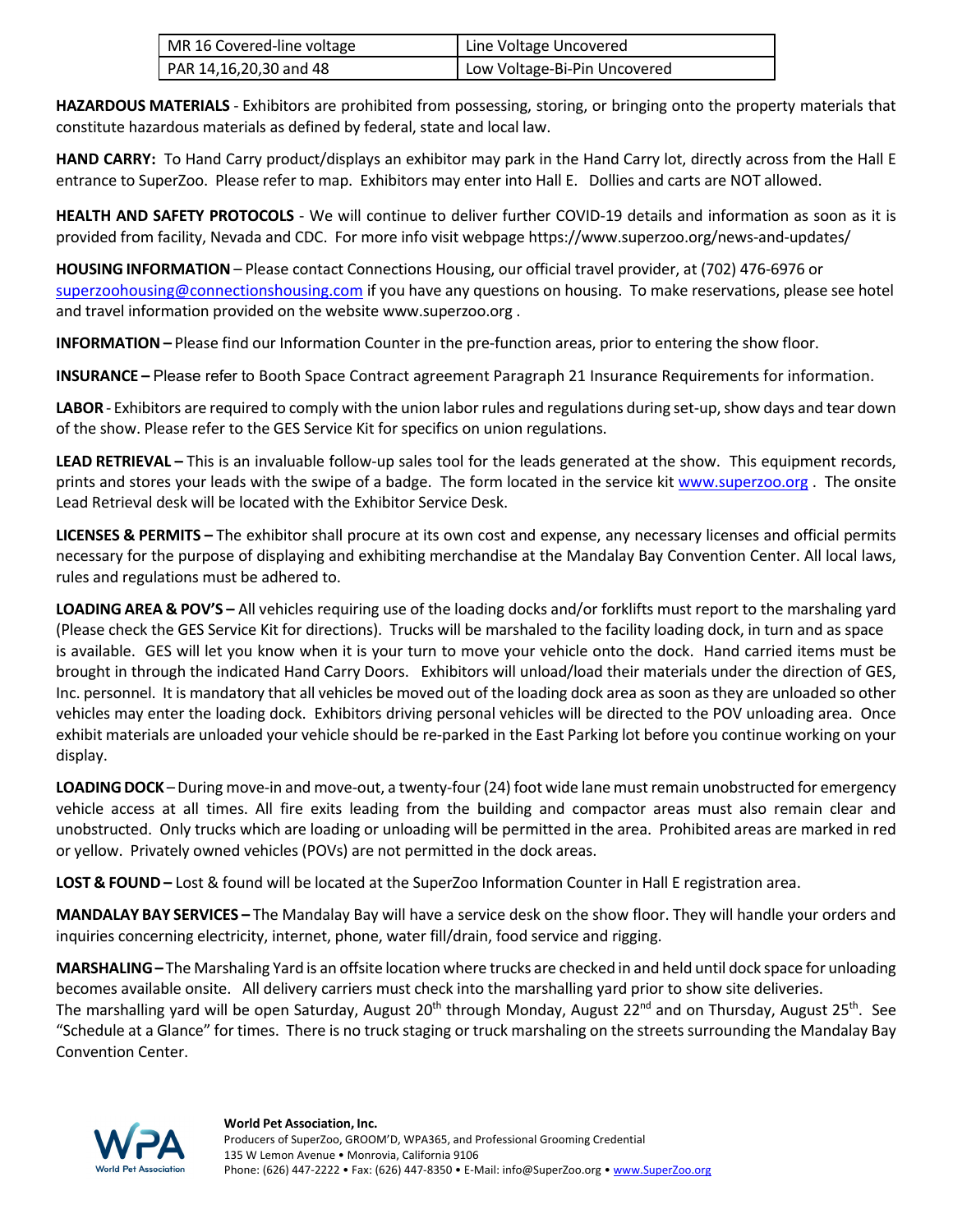| MR 16 Covered-line voltage  | Line Voltage Uncovered       |
|-----------------------------|------------------------------|
| $PRR 14, 16, 20, 30$ and 48 | Low Voltage-Bi-Pin Uncovered |

**HAZARDOUS MATERIALS** ‐ Exhibitors are prohibited from possessing, storing, or bringing onto the property materials that constitute hazardous materials as defined by federal, state and local law.

**HAND CARRY:** To Hand Carry product/displays an exhibitor may park in the Hand Carry lot, directly across from the Hall E entrance to SuperZoo. Please refer to map. Exhibitors may enter into Hall E. Dollies and carts are NOT allowed.

**HEALTH AND SAFETY PROTOCOLS** ‐ We will continue to deliver further COVID‐19 details and information as soon as it is provided from facility, Nevada and CDC. For more info visit webpage https://www.superzoo.org/news‐and‐updates/

**HOUSING INFORMATION** – Please contact Connections Housing, our official travel provider, at (702) 476‐6976 or superzoohousing@connectionshousing.com if you have any questions on housing. To make reservations, please see hotel and travel information provided on the website www.superzoo.org .

**INFORMATION** – Please find our Information Counter in the pre-function areas, prior to entering the show floor.

**INSURANCE –** Please refer to Booth Space Contract agreement Paragraph 21 Insurance Requirements for information.

LABOR - Exhibitors are required to comply with the union labor rules and regulations during set-up, show days and tear down of the show. Please refer to the GES Service Kit for specifics on union regulations.

**LEAD RETRIEVAL –** This is an invaluable follow‐up sales tool for the leads generated at the show. This equipment records, prints and stores your leads with the swipe of a badge. The form located in the service kit www.superzoo.org . The onsite Lead Retrieval desk will be located with the Exhibitor Service Desk.

**LICENSES & PERMITS –** The exhibitor shall procure at its own cost and expense, any necessary licenses and official permits necessary for the purpose of displaying and exhibiting merchandise at the Mandalay Bay Convention Center. All local laws, rules and regulations must be adhered to.

**LOADING AREA & POV'S –** All vehicles requiring use of the loading docks and/or forklifts must report to the marshaling yard (Please check the GES Service Kit for directions). Trucks will be marshaled to the facility loading dock, in turn and as space is available. GES will let you know when it is your turn to move your vehicle onto the dock. Hand carried items must be brought in through the indicated Hand Carry Doors. Exhibitors will unload/load their materials under the direction of GES, Inc. personnel. It is mandatory that all vehicles be moved out of the loading dock area assoon asthey are unloaded so other vehicles may enter the loading dock. Exhibitors driving personal vehicles will be directed to the POV unloading area. Once exhibit materials are unloaded your vehicle should be re-parked in the East Parking lot before you continue working on your display.

**LOADING DOCK** – During move-in and move-out, a twenty-four (24) foot wide lane must remain unobstructed for emergency vehicle access at all times. All fire exits leading from the building and compactor areas must also remain clear and unobstructed. Only trucks which are loading or unloading will be permitted in the area. Prohibited areas are marked in red or yellow. Privately owned vehicles (POVs) are not permitted in the dock areas.

**LOST & FOUND –** Lost & found will be located at the SuperZoo Information Counter in Hall E registration area.

**MANDALAY BAY SERVICES –** The Mandalay Bay will have a service desk on the show floor. They will handle your orders and inquiries concerning electricity, internet, phone, water fill/drain, food service and rigging.

**MARSHALING–** The Marshaling Yard is an offsite location where trucks are checked in and held until dock space for unloading becomes available onsite. All delivery carriers must check into the marshalling yard prior to show site deliveries. The marshalling yard will be open Saturday, August 20<sup>th</sup> through Monday, August 22<sup>nd</sup> and on Thursday, August 25<sup>th</sup>. See "Schedule at a Glance" for times. There is no truck staging or truck marshaling on the streets surrounding the Mandalay Bay Convention Center.

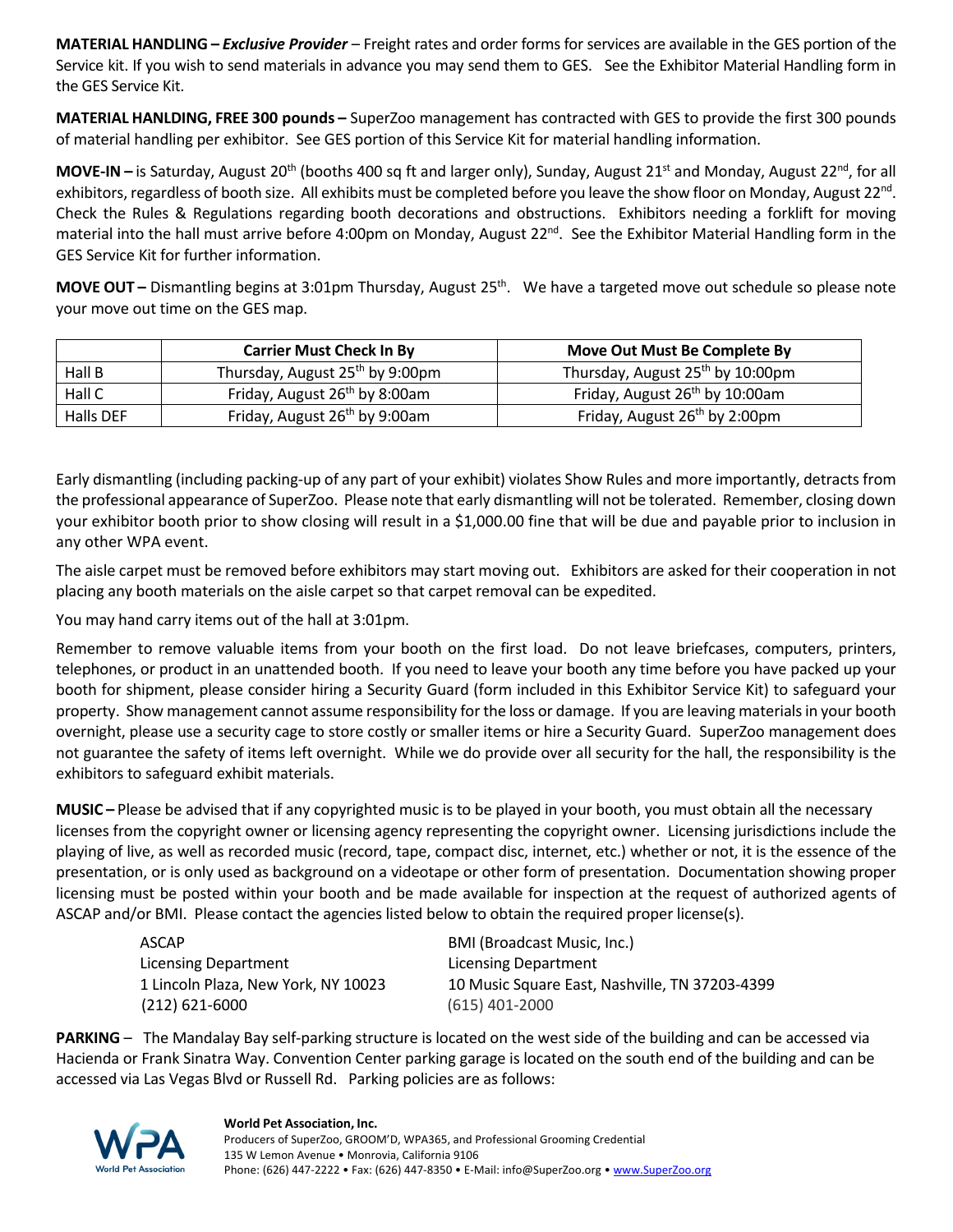**MATERIAL HANDLING –** *Exclusive Provider* – Freight rates and order forms for services are available in the GES portion of the Service kit. If you wish to send materials in advance you may send them to GES. See the Exhibitor Material Handling form in the GES Service Kit.

**MATERIAL HANLDING, FREE 300 pounds –** SuperZoo management has contracted with GES to provide the first 300 pounds of material handling per exhibitor. See GES portion of this Service Kit for material handling information.

**MOVE-IN** – is Saturday, August 20<sup>th</sup> (booths 400 sq ft and larger only), Sunday, August 21<sup>st</sup> and Monday, August 22<sup>nd</sup>, for all exhibitors, regardless of booth size. All exhibits must be completed before you leave the show floor on Monday, August 22<sup>nd</sup>. Check the Rules & Regulations regarding booth decorations and obstructions. Exhibitors needing a forklift for moving material into the hall must arrive before 4:00pm on Monday, August  $22^{nd}$ . See the Exhibitor Material Handling form in the GES Service Kit for further information.

**MOVE OUT** – Dismantling begins at 3:01pm Thursday, August 25<sup>th</sup>. We have a targeted move out schedule so please note your move out time on the GES map.

|           | <b>Carrier Must Check In By</b>             | Move Out Must Be Complete By                 |
|-----------|---------------------------------------------|----------------------------------------------|
| Hall B    | Thursday, August 25 <sup>th</sup> by 9:00pm | Thursday, August 25 <sup>th</sup> by 10:00pm |
| Hall C    | Friday, August 26 <sup>th</sup> by 8:00am   | Friday, August 26 <sup>th</sup> by 10:00am   |
| Halls DEF | Friday, August 26 <sup>th</sup> by 9:00am   | Friday, August 26 <sup>th</sup> by 2:00pm    |

Early dismantling (including packing‐up of any part of your exhibit) violates Show Rules and more importantly, detracts from the professional appearance of SuperZoo. Please note that early dismantling will not be tolerated. Remember, closing down your exhibitor booth prior to show closing will result in a \$1,000.00 fine that will be due and payable prior to inclusion in any other WPA event.

The aisle carpet must be removed before exhibitors may start moving out. Exhibitors are asked for their cooperation in not placing any booth materials on the aisle carpet so that carpet removal can be expedited.

You may hand carry items out of the hall at 3:01pm.

Remember to remove valuable items from your booth on the first load. Do not leave briefcases, computers, printers, telephones, or product in an unattended booth. If you need to leave your booth any time before you have packed up your booth for shipment, please consider hiring a Security Guard (form included in this Exhibitor Service Kit) to safeguard your property. Show management cannot assume responsibility for the loss or damage. If you are leaving materialsin your booth overnight, please use a security cage to store costly or smaller items or hire a Security Guard. SuperZoo management does not guarantee the safety of items left overnight. While we do provide over all security for the hall, the responsibility is the exhibitors to safeguard exhibit materials.

**MUSIC –** Please be advised that if any copyrighted music is to be played in your booth, you must obtain all the necessary licenses from the copyright owner or licensing agency representing the copyright owner. Licensing jurisdictions include the playing of live, as well as recorded music (record, tape, compact disc, internet, etc.) whether or not, it is the essence of the presentation, or is only used as background on a videotape or other form of presentation. Documentation showing proper licensing must be posted within your booth and be made available for inspection at the request of authorized agents of ASCAP and/or BMI. Please contact the agencies listed below to obtain the required proper license(s).

| ASCAP                               | <b>BMI (Broadcast Music, Inc.)</b>             |
|-------------------------------------|------------------------------------------------|
| <b>Licensing Department</b>         | Licensing Department                           |
| 1 Lincoln Plaza, New York, NY 10023 | 10 Music Square East, Nashville, TN 37203-4399 |
| $(212)$ 621-6000                    | $(615)$ 401-2000                               |

**PARKING** – The Mandalay Bay self-parking structure is located on the west side of the building and can be accessed via Hacienda or Frank Sinatra Way. Convention Center parking garage is located on the south end of the building and can be accessed via Las Vegas Blvd or Russell Rd. Parking policies are as follows:



#### **World Pet Association, Inc.**  Producers of SuperZoo, GROOM'D, WPA365, and Professional Grooming Credential 135 W Lemon Avenue • Monrovia, California 9106 Phone: (626) 447-2222 • Fax: (626) 447-8350 • E-Mail: info@SuperZoo.org • www.SuperZoo.org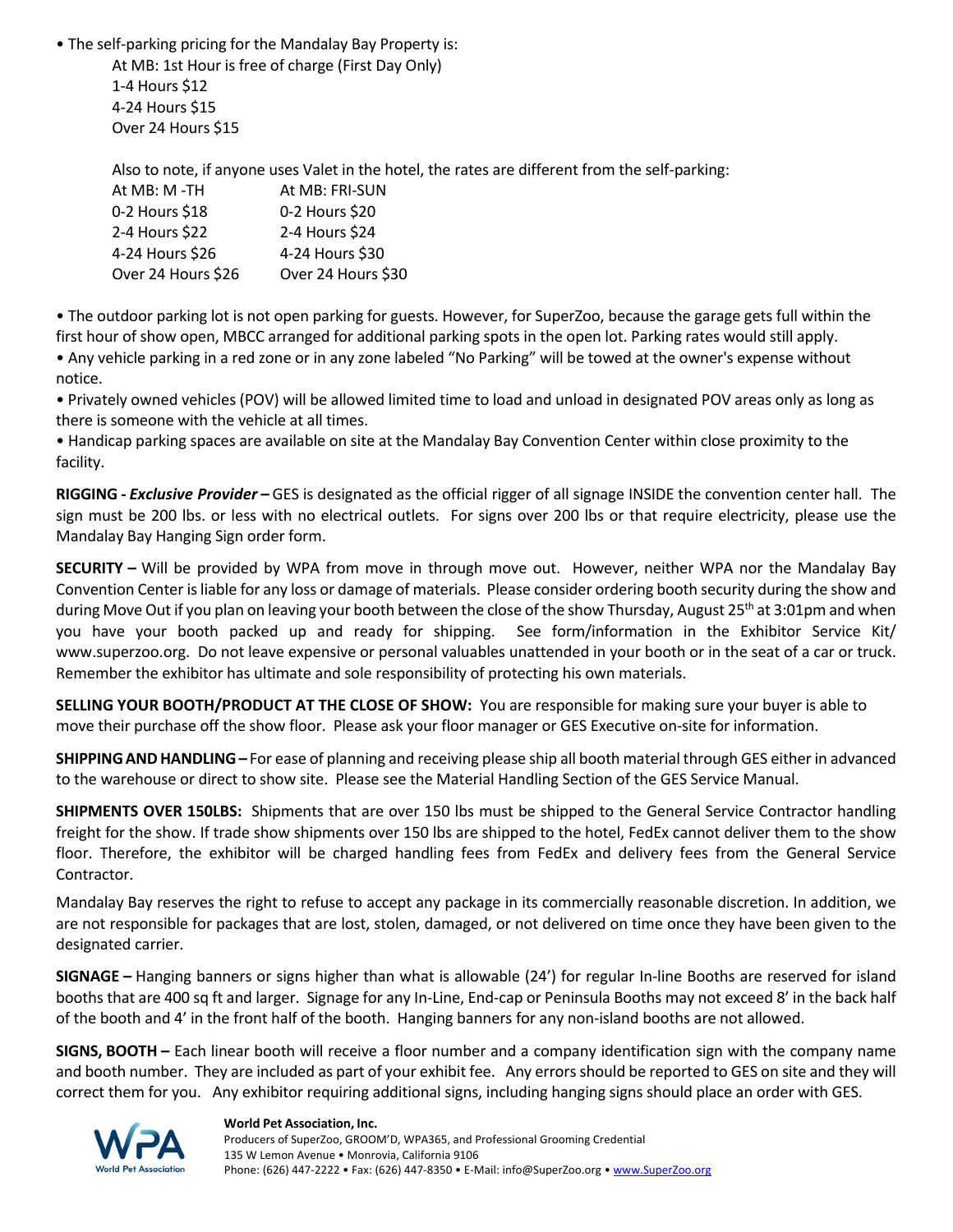• The self‐parking pricing for the Mandalay Bay Property is:

At MB: 1st Hour is free of charge (First Day Only) 1‐4 Hours \$12 4‐24 Hours \$15 Over 24 Hours \$15

Also to note, if anyone uses Valet in the hotel, the rates are different from the self‐parking:

| At MB: M-TH        | At MB: FRI-SUN     |
|--------------------|--------------------|
| 0-2 Hours \$18     | 0-2 Hours \$20     |
| 2-4 Hours \$22     | 2-4 Hours \$24     |
| 4-24 Hours \$26    | 4-24 Hours \$30    |
| Over 24 Hours \$26 | Over 24 Hours \$30 |

• The outdoor parking lot is not open parking for guests. However, for SuperZoo, because the garage gets full within the first hour of show open, MBCC arranged for additional parking spots in the open lot. Parking rates would still apply. • Any vehicle parking in a red zone or in any zone labeled "No Parking" will be towed at the owner's expense without notice.

• Privately owned vehicles (POV) will be allowed limited time to load and unload in designated POV areas only as long as there is someone with the vehicle at all times.

• Handicap parking spaces are available on site at the Mandalay Bay Convention Center within close proximity to the facility.

**RIGGING ‐** *Exclusive Provider –* GES is designated as the official rigger of all signage INSIDE the convention center hall. The sign must be 200 lbs. or less with no electrical outlets. For signs over 200 lbs or that require electricity, please use the Mandalay Bay Hanging Sign order form.

**SECURITY –** Will be provided by WPA from move in through move out. However, neither WPA nor the Mandalay Bay Convention Center isliable for any loss or damage of materials. Please consider ordering booth security during the show and during Move Out if you plan on leaving your booth between the close of the show Thursday, August 25<sup>th</sup> at 3:01pm and when you have your booth packed up and ready for shipping. See form/information in the Exhibitor Service Kit/ www.superzoo.org. Do not leave expensive or personal valuables unattended in your booth or in the seat of a car or truck. Remember the exhibitor has ultimate and sole responsibility of protecting his own materials.

**SELLING YOUR BOOTH/PRODUCT AT THE CLOSE OF SHOW:** You are responsible for making sure your buyer is able to move their purchase off the show floor. Please ask your floor manager or GES Executive on‐site for information.

**SHIPPINGANDHANDLING–** For ease of planning and receiving please ship all booth material through GES either in advanced to the warehouse or direct to show site. Please see the Material Handling Section of the GES Service Manual.

**SHIPMENTS OVER 150LBS:** Shipments that are over 150 lbs must be shipped to the General Service Contractor handling freight for the show. If trade show shipments over 150 lbs are shipped to the hotel, FedEx cannot deliver them to the show floor. Therefore, the exhibitor will be charged handling fees from FedEx and delivery fees from the General Service Contractor.

Mandalay Bay reserves the right to refuse to accept any package in its commercially reasonable discretion. In addition, we are not responsible for packages that are lost, stolen, damaged, or not delivered on time once they have been given to the designated carrier.

**SIGNAGE –** Hanging banners or signs higher than what is allowable (24') for regular In‐line Booths are reserved for island booths that are 400 sq ft and larger. Signage for any In‐Line, End‐cap or Peninsula Booths may not exceed 8' in the back half of the booth and 4' in the front half of the booth. Hanging banners for any non-island booths are not allowed.

**SIGNS, BOOTH –** Each linear booth will receive a floor number and a company identification sign with the company name and booth number. They are included as part of your exhibit fee. Any errors should be reported to GES on site and they will correct them for you. Any exhibitor requiring additional signs, including hanging signs should place an order with GES.